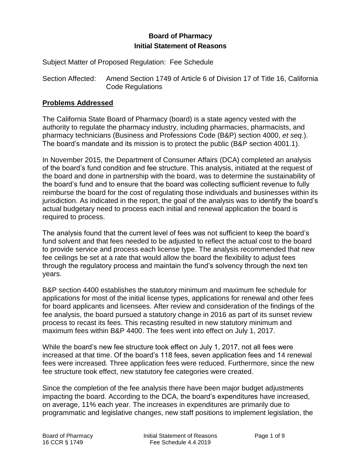# **Board of Pharmacy Initial Statement of Reasons**

Subject Matter of Proposed Regulation: Fee Schedule

Section Affected: Amend Section 1749 of Article 6 of Division 17 of Title 16, California Code Regulations

#### **Problems Addressed**

The California State Board of Pharmacy (board) is a state agency vested with the authority to regulate the pharmacy industry, including pharmacies, pharmacists, and pharmacy technicians (Business and Professions Code (B&P) section 4000, *et seq*.). The board's mandate and its mission is to protect the public (B&P section 4001.1).

In November 2015, the Department of Consumer Affairs (DCA) completed an analysis of the board's fund condition and fee structure. This analysis, initiated at the request of the board and done in partnership with the board, was to determine the sustainability of the board's fund and to ensure that the board was collecting sufficient revenue to fully reimburse the board for the cost of regulating those individuals and businesses within its jurisdiction. As indicated in the report, the goal of the analysis was to identify the board's actual budgetary need to process each initial and renewal application the board is required to process.

The analysis found that the current level of fees was not sufficient to keep the board's fund solvent and that fees needed to be adjusted to reflect the actual cost to the board to provide service and process each license type. The analysis recommended that new fee ceilings be set at a rate that would allow the board the flexibility to adjust fees through the regulatory process and maintain the fund's solvency through the next ten years.

B&P section 4400 establishes the statutory minimum and maximum fee schedule for applications for most of the initial license types, applications for renewal and other fees for board applicants and licensees. After review and consideration of the findings of the fee analysis, the board pursued a statutory change in 2016 as part of its sunset review process to recast its fees. This recasting resulted in new statutory minimum and maximum fees within B&P 4400. The fees went into effect on July 1, 2017.

While the board's new fee structure took effect on July 1, 2017, not all fees were increased at that time. Of the board's 118 fees, seven application fees and 14 renewal fees were increased. Three application fees were reduced. Furthermore, since the new fee structure took effect, new statutory fee categories were created.

Since the completion of the fee analysis there have been major budget adjustments impacting the board. According to the DCA, the board's expenditures have increased, on average, 11% each year. The increases in expenditures are primarily due to programmatic and legislative changes, new staff positions to implement legislation, the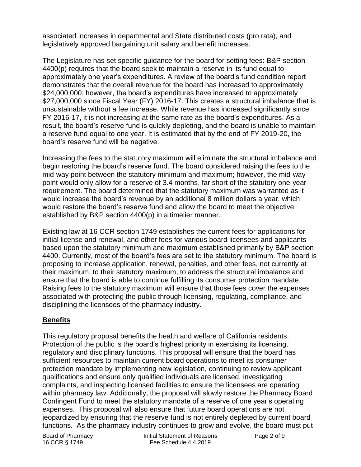associated increases in departmental and State distributed costs (pro rata), and legislatively approved bargaining unit salary and benefit increases.

The Legislature has set specific guidance for the board for setting fees: B&P section 4400(p) requires that the board seek to maintain a reserve in its fund equal to approximately one year's expenditures. A review of the board's fund condition report demonstrates that the overall revenue for the board has increased to approximately \$24,000,000; however, the board's expenditures have increased to approximately \$27,000,000 since Fiscal Year (FY) 2016-17. This creates a structural imbalance that is unsustainable without a fee increase. While revenue has increased significantly since FY 2016-17, it is not increasing at the same rate as the board's expenditures. As a result, the board's reserve fund is quickly depleting, and the board is unable to maintain a reserve fund equal to one year. It is estimated that by the end of FY 2019-20, the board's reserve fund will be negative.

Increasing the fees to the statutory maximum will eliminate the structural imbalance and begin restoring the board's reserve fund. The board considered raising the fees to the mid-way point between the statutory minimum and maximum; however, the mid-way point would only allow for a reserve of 3.4 months, far short of the statutory one-year requirement. The board determined that the statutory maximum was warranted as it would increase the board's revenue by an additional 8 million dollars a year, which would restore the board's reserve fund and allow the board to meet the objective established by B&P section 4400(p) in a timelier manner.

Existing law at 16 CCR section 1749 establishes the current fees for applications for initial license and renewal, and other fees for various board licensees and applicants based upon the statutory minimum and maximum established primarily by B&P section 4400. Currently, most of the board's fees are set to the statutory minimum. The board is proposing to increase application, renewal, penalties, and other fees, not currently at their maximum, to their statutory maximum, to address the structural imbalance and ensure that the board is able to continue fulfilling its consumer protection mandate. Raising fees to the statutory maximum will ensure that those fees cover the expenses associated with protecting the public through licensing, regulating, compliance, and disciplining the licensees of the pharmacy industry.

## **Benefits**

This regulatory proposal benefits the health and welfare of California residents. Protection of the public is the board's highest priority in exercising its licensing, regulatory and disciplinary functions. This proposal will ensure that the board has sufficient resources to maintain current board operations to meet its consumer protection mandate by implementing new legislation, continuing to review applicant qualifications and ensure only qualified individuals are licensed, investigating complaints, and inspecting licensed facilities to ensure the licensees are operating within pharmacy law. Additionally, the proposal will slowly restore the Pharmacy Board Contingent Fund to meet the statutory mandate of a reserve of one year's operating expenses. This proposal will also ensure that future board operations are not jeopardized by ensuring that the reserve fund is not entirely depleted by current board functions. As the pharmacy industry continues to grow and evolve, the board must put

Board of Pharmacy Initial Statement of Reasons Page 2 of 9 16 CCR § 1749 Fee Schedule 4.4.2019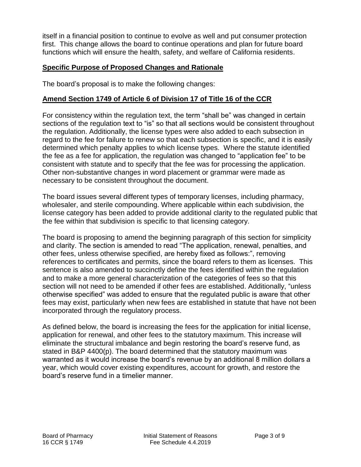itself in a financial position to continue to evolve as well and put consumer protection first. This change allows the board to continue operations and plan for future board functions which will ensure the health, safety, and welfare of California residents.

#### **Specific Purpose of Proposed Changes and Rationale**

The board's proposal is to make the following changes:

#### **Amend Section 1749 of Article 6 of Division 17 of Title 16 of the CCR**

For consistency within the regulation text, the term "shall be" was changed in certain sections of the regulation text to "is" so that all sections would be consistent throughout the regulation. Additionally, the license types were also added to each subsection in regard to the fee for failure to renew so that each subsection is specific, and it is easily determined which penalty applies to which license types. Where the statute identified the fee as a fee for application, the regulation was changed to "application fee" to be consistent with statute and to specify that the fee was for processing the application. Other non-substantive changes in word placement or grammar were made as necessary to be consistent throughout the document.

The board issues several different types of temporary licenses, including pharmacy, wholesaler, and sterile compounding. Where applicable within each subdivision, the license category has been added to provide additional clarity to the regulated public that the fee within that subdivision is specific to that licensing category.

The board is proposing to amend the beginning paragraph of this section for simplicity and clarity. The section is amended to read "The application, renewal, penalties, and other fees, unless otherwise specified, are hereby fixed as follows:", removing references to certificates and permits, since the board refers to them as licenses. This sentence is also amended to succinctly define the fees identified within the regulation and to make a more general characterization of the categories of fees so that this section will not need to be amended if other fees are established. Additionally, "unless otherwise specified" was added to ensure that the regulated public is aware that other fees may exist, particularly when new fees are established in statute that have not been incorporated through the regulatory process.

As defined below, the board is increasing the fees for the application for initial license, application for renewal, and other fees to the statutory maximum. This increase will eliminate the structural imbalance and begin restoring the board's reserve fund, as stated in B&P 4400(p). The board determined that the statutory maximum was warranted as it would increase the board's revenue by an additional 8 million dollars a year, which would cover existing expenditures, account for growth, and restore the board's reserve fund in a timelier manner.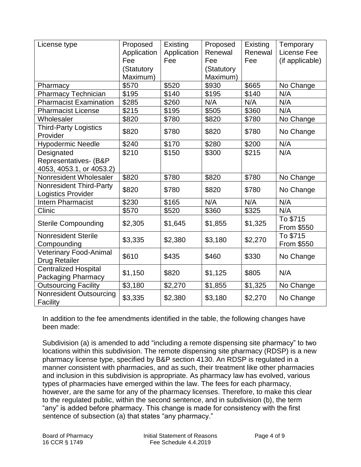| License type                                                    | Proposed<br>Application<br>Fee<br>(Statutory | Existing<br>Application<br>Fee | Proposed<br>Renewal<br>Fee<br>(Statutory | Existing<br>Renewal<br>Fee | Temporary<br>License Fee<br>(if applicable) |
|-----------------------------------------------------------------|----------------------------------------------|--------------------------------|------------------------------------------|----------------------------|---------------------------------------------|
|                                                                 | Maximum)                                     |                                | Maximum)                                 |                            |                                             |
| Pharmacy                                                        | \$570                                        | \$520                          | \$930                                    | \$665                      | No Change                                   |
| <b>Pharmacy Technician</b>                                      | \$195                                        | \$140                          | \$195                                    | \$140                      | N/A                                         |
| <b>Pharmacist Examination</b>                                   | \$285                                        | \$260                          | N/A                                      | N/A                        | N/A                                         |
| <b>Pharmacist License</b>                                       | \$215                                        | \$195                          | \$505                                    | \$360                      | N/A                                         |
| Wholesaler                                                      | \$820                                        | \$780                          | \$820                                    | \$780                      | No Change                                   |
| <b>Third-Party Logistics</b><br>Provider                        | \$820                                        | \$780                          | \$820                                    | \$780                      | No Change                                   |
| <b>Hypodermic Needle</b>                                        | \$240                                        | \$170                          | \$280                                    | \$200                      | N/A                                         |
| Designated<br>Representatives- (B&P<br>4053, 4053.1, or 4053.2) | \$210                                        | \$150                          | \$300                                    | \$215                      | N/A                                         |
| Nonresident Wholesaler                                          | \$820                                        | \$780                          | \$820                                    | \$780                      | No Change                                   |
| <b>Nonresident Third-Party</b><br><b>Logistics Provider</b>     | \$820                                        | \$780                          | \$820                                    | \$780                      | No Change                                   |
| <b>Intern Pharmacist</b>                                        | \$230                                        | \$165                          | N/A                                      | N/A                        | N/A                                         |
| Clinic                                                          | \$570                                        | \$520                          | \$360                                    | \$325                      | N/A                                         |
| <b>Sterile Compounding</b>                                      | \$2,305                                      | \$1,645                        | \$1,855                                  | \$1,325                    | To \$715<br>From \$550                      |
| <b>Nonresident Sterile</b><br>Compounding                       | \$3,335                                      | \$2,380                        | \$3,180                                  | \$2,270                    | To \$715<br>From \$550                      |
| Veterinary Food-Animal<br><b>Drug Retailer</b>                  | \$610                                        | \$435                          | \$460                                    | \$330                      | No Change                                   |
| <b>Centralized Hospital</b><br>Packaging Pharmacy               | \$1,150                                      | \$820                          | \$1,125                                  | \$805                      | N/A                                         |
| <b>Outsourcing Facility</b>                                     | \$3,180                                      | \$2,270                        | \$1,855                                  | \$1,325                    | No Change                                   |
| Nonresident Outsourcing<br>Facility                             | \$3,335                                      | \$2,380                        | \$3,180                                  | \$2,270                    | No Change                                   |

In addition to the fee amendments identified in the table, the following changes have been made:

Subdivision (a) is amended to add "including a remote dispensing site pharmacy" to two locations within this subdivision. The remote dispensing site pharmacy (RDSP) is a new pharmacy license type, specified by B&P section 4130. An RDSP is regulated in a manner consistent with pharmacies, and as such, their treatment like other pharmacies and inclusion in this subdivision is appropriate. As pharmacy law has evolved, various types of pharmacies have emerged within the law. The fees for each pharmacy, however, are the same for any of the pharmacy licenses. Therefore, to make this clear to the regulated public, within the second sentence, and in subdivision (b), the term "any" is added before pharmacy. This change is made for consistency with the first sentence of subsection (a) that states "any pharmacy."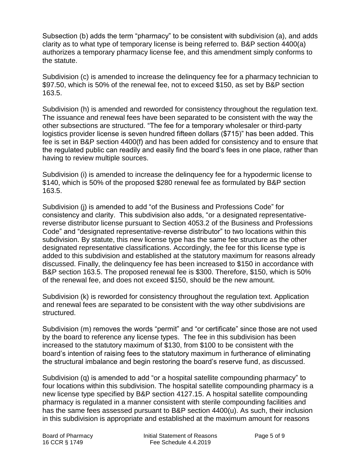Subsection (b) adds the term "pharmacy" to be consistent with subdivision (a), and adds clarity as to what type of temporary license is being referred to. B&P section 4400(a) authorizes a temporary pharmacy license fee, and this amendment simply conforms to the statute.

Subdivision (c) is amended to increase the delinquency fee for a pharmacy technician to \$97.50, which is 50% of the renewal fee, not to exceed \$150, as set by B&P section 163.5.

Subdivision (h) is amended and reworded for consistency throughout the regulation text. The issuance and renewal fees have been separated to be consistent with the way the other subsections are structured. "The fee for a temporary wholesaler or third-party logistics provider license is seven hundred fifteen dollars (\$715)" has been added. This fee is set in B&P section 4400(f) and has been added for consistency and to ensure that the regulated public can readily and easily find the board's fees in one place, rather than having to review multiple sources.

Subdivision (i) is amended to increase the delinquency fee for a hypodermic license to \$140, which is 50% of the proposed \$280 renewal fee as formulated by B&P section 163.5.

Subdivision (j) is amended to add "of the Business and Professions Code" for consistency and clarity. This subdivision also adds, "or a designated representativereverse distributor license pursuant to Section 4053.2 of the Business and Professions Code" and "designated representative-reverse distributor" to two locations within this subdivision. By statute, this new license type has the same fee structure as the other designated representative classifications. Accordingly, the fee for this license type is added to this subdivision and established at the statutory maximum for reasons already discussed. Finally, the delinquency fee has been increased to \$150 in accordance with B&P section 163.5. The proposed renewal fee is \$300. Therefore, \$150, which is 50% of the renewal fee, and does not exceed \$150, should be the new amount.

Subdivision (k) is reworded for consistency throughout the regulation text. Application and renewal fees are separated to be consistent with the way other subdivisions are structured.

Subdivision (m) removes the words "permit" and "or certificate" since those are not used by the board to reference any license types. The fee in this subdivision has been increased to the statutory maximum of \$130, from \$100 to be consistent with the board's intention of raising fees to the statutory maximum in furtherance of eliminating the structural imbalance and begin restoring the board's reserve fund, as discussed.

Subdivision (q) is amended to add "or a hospital satellite compounding pharmacy" to four locations within this subdivision. The hospital satellite compounding pharmacy is a new license type specified by B&P section 4127.15. A hospital satellite compounding pharmacy is regulated in a manner consistent with sterile compounding facilities and has the same fees assessed pursuant to B&P section 4400(u). As such, their inclusion in this subdivision is appropriate and established at the maximum amount for reasons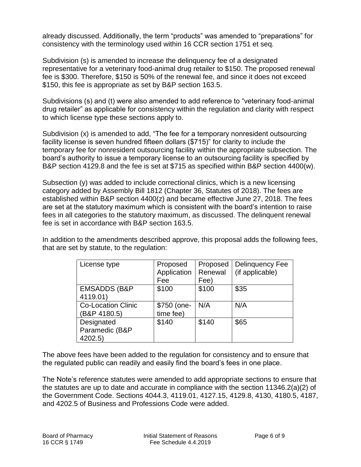already discussed. Additionally, the term "products" was amended to "preparations" for consistency with the terminology used within 16 CCR section 1751 et seq.

Subdivision (s) is amended to increase the delinquency fee of a designated representative for a veterinary food-animal drug retailer to \$150. The proposed renewal fee is \$300. Therefore, \$150 is 50% of the renewal fee, and since it does not exceed \$150, this fee is appropriate as set by B&P section 163.5.

Subdivisions (s) and (t) were also amended to add reference to "veterinary food-animal drug retailer" as applicable for consistency within the regulation and clarity with respect to which license type these sections apply to.

Subdivision (x) is amended to add, "The fee for a temporary nonresident outsourcing facility license is seven hundred fifteen dollars (\$715)" for clarity to include the temporary fee for nonresident outsourcing facility within the appropriate subsection. The board's authority to issue a temporary license to an outsourcing facility is specified by B&P section 4129.8 and the fee is set at \$715 as specified within B&P section 4400(w).

Subsection (y) was added to include correctional clinics, which is a new licensing category added by Assembly Bill 1812 (Chapter 36, Statutes of 2018). The fees are established within B&P section 4400(z) and became effective June 27, 2018. The fees are set at the statutory maximum which is consistent with the board's intention to raise fees in all categories to the statutory maximum, as discussed. The delinquent renewal fee is set in accordance with B&P section 163.5.

In addition to the amendments described approve, this proposal adds the following fees, that are set by statute, to the regulation:

| License type                              | Proposed<br>Application<br>Fee | Proposed<br>Renewal<br>Fee) | <b>Delinquency Fee</b><br>(if applicable) |
|-------------------------------------------|--------------------------------|-----------------------------|-------------------------------------------|
| <b>EMSADDS (B&amp;P</b><br>4119.01)       | \$100                          | \$100                       | \$35                                      |
| <b>Co-Location Clinic</b><br>(B&P 4180.5) | \$750 (one-<br>time fee)       | N/A                         | N/A                                       |
| Designated<br>Paramedic (B&P<br>4202.5)   | \$140                          | \$140                       | \$65                                      |

The above fees have been added to the regulation for consistency and to ensure that the regulated public can readily and easily find the board's fees in one place.

The Note's reference statutes were amended to add appropriate sections to ensure that the statutes are up to date and accurate in compliance with the section 11346.2(a)(2) of the Government Code. Sections 4044.3, 4119.01, 4127.15, 4129.8, 4130, 4180.5, 4187, and 4202.5 of Business and Professions Code were added.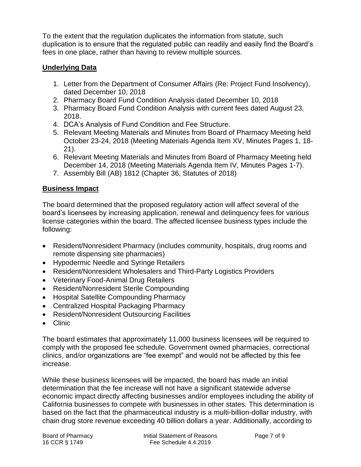To the extent that the regulation duplicates the information from statute, such duplication is to ensure that the regulated public can readily and easily find the Board's fees in one place, rather than having to review multiple sources.

## **Underlying Data**

- 1. Letter from the Department of Consumer Affairs (Re: Project Fund Insolvency), dated December 10, 2018
- 2. Pharmacy Board Fund Condition Analysis dated December 10, 2018
- 3. Pharmacy Board Fund Condition Analysis with current fees dated August 23, 2018.
- 4. DCA's Analysis of Fund Condition and Fee Structure.
- 5. Relevant Meeting Materials and Minutes from Board of Pharmacy Meeting held October 23-24, 2018 (Meeting Materials Agenda Item XV, Minutes Pages 1, 18- 21).
- 6. Relevant Meeting Materials and Minutes from Board of Pharmacy Meeting held December 14, 2018 (Meeting Materials Agenda Item IV, Minutes Pages 1-7).
- 7. Assembly Bill (AB) 1812 (Chapter 36, Statutes of 2018)

# **Business Impact**

The board determined that the proposed regulatory action will affect several of the board's licensees by increasing application, renewal and delinquency fees for various license categories within the board. The affected licensee business types include the following:

- Resident/Nonresident Pharmacy (includes community, hospitals, drug rooms and remote dispensing site pharmacies)
- Hypodermic Needle and Syringe Retailers
- Resident/Nonresident Wholesalers and Third-Party Logistics Providers
- Veterinary Food-Animal Drug Retailers
- Resident/Nonresident Sterile Compounding
- Hospital Satellite Compounding Pharmacy
- Centralized Hospital Packaging Pharmacy
- Resident/Nonresident Outsourcing Facilities
- Clinic

The board estimates that approximately 11,000 business licensees will be required to comply with the proposed fee schedule. Government owned pharmacies, correctional clinics, and/or organizations are "fee exempt" and would not be affected by this fee increase.

While these business licensees will be impacted, the board has made an initial determination that the fee increase will not have a significant statewide adverse economic impact directly affecting businesses and/or employees including the ability of California businesses to compete with businesses in other states. This determination is based on the fact that the pharmaceutical industry is a multi-billion-dollar industry, with chain drug store revenue exceeding 40 billion dollars a year. Additionally, according to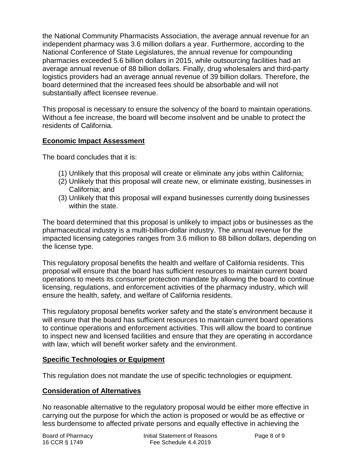the National Community Pharmacists Association, the average annual revenue for an independent pharmacy was 3.6 million dollars a year. Furthermore, according to the National Conference of State Legislatures, the annual revenue for compounding pharmacies exceeded 5.6 billion dollars in 2015, while outsourcing facilities had an average annual revenue of 88 billion dollars. Finally, drug wholesalers and third-party logistics providers had an average annual revenue of 39 billion dollars. Therefore, the board determined that the increased fees should be absorbable and will not substantially affect licensee revenue.

This proposal is necessary to ensure the solvency of the board to maintain operations. Without a fee increase, the board will become insolvent and be unable to protect the residents of California.

#### **Economic Impact Assessment**

The board concludes that it is:

- (1) Unlikely that this proposal will create or eliminate any jobs within California;
- (2) Unlikely that this proposal will create new, or eliminate existing, businesses in California; and
- (3) Unlikely that this proposal will expand businesses currently doing businesses within the state.

The board determined that this proposal is unlikely to impact jobs or businesses as the pharmaceutical industry is a multi-billion-dollar industry. The annual revenue for the impacted licensing categories ranges from 3.6 million to 88 billion dollars, depending on the license type.

This regulatory proposal benefits the health and welfare of California residents. This proposal will ensure that the board has sufficient resources to maintain current board operations to meets its consumer protection mandate by allowing the board to continue licensing, regulations, and enforcement activities of the pharmacy industry, which will ensure the health, safety, and welfare of California residents.

This regulatory proposal benefits worker safety and the state's environment because it will ensure that the board has sufficient resources to maintain current board operations to continue operations and enforcement activities. This will allow the board to continue to inspect new and licensed facilities and ensure that they are operating in accordance with law, which will benefit worker safety and the environment.

## **Specific Technologies or Equipment**

This regulation does not mandate the use of specific technologies or equipment.

## **Consideration of Alternatives**

No reasonable alternative to the regulatory proposal would be either more effective in carrying out the purpose for which the action is proposed or would be as effective or less burdensome to affected private persons and equally effective in achieving the